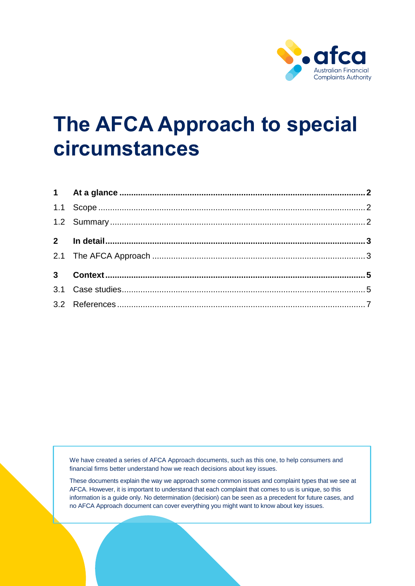

# **The AFCA Approach to special circumstances**

We have created a series of AFCA Approach documents, such as this one, to help consumers and financial firms better understand how we reach decisions about key issues.

These documents explain the way we approach some common issues and complaint types that we see at AFCA. However, it is important to understand that each complaint that comes to us is unique, so this information is a guide only. No determination (decision) can be seen as a precedent for future cases, and no AFCA Approach document can cover everything you might want to know about key issues.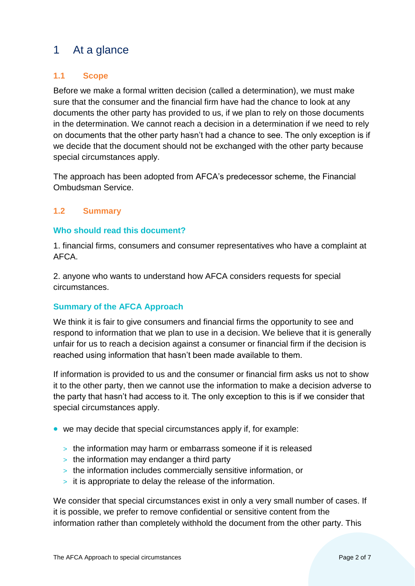# <span id="page-1-0"></span>1 At a glance

#### <span id="page-1-1"></span>**1.1 Scope**

Before we make a formal written decision (called a determination), we must make sure that the consumer and the financial firm have had the chance to look at any documents the other party has provided to us, if we plan to rely on those documents in the determination. We cannot reach a decision in a determination if we need to rely on documents that the other party hasn't had a chance to see. The only exception is if we decide that the document should not be exchanged with the other party because special circumstances apply.

The approach has been adopted from AFCA's predecessor scheme, the Financial Ombudsman Service.

#### <span id="page-1-2"></span>**1.2 Summary**

#### **Who should read this document?**

1. financial firms, consumers and consumer representatives who have a complaint at AFCA.

2. anyone who wants to understand how AFCA considers requests for special circumstances.

#### **Summary of the AFCA Approach**

We think it is fair to give consumers and financial firms the opportunity to see and respond to information that we plan to use in a decision. We believe that it is generally unfair for us to reach a decision against a consumer or financial firm if the decision is reached using information that hasn't been made available to them.

If information is provided to us and the consumer or financial firm asks us not to show it to the other party, then we cannot use the information to make a decision adverse to the party that hasn't had access to it. The only exception to this is if we consider that special circumstances apply.

- we may decide that special circumstances apply if, for example:
	- > the information may harm or embarrass someone if it is released
	- > the information may endanger a third party
	- > the information includes commercially sensitive information, or
	- > it is appropriate to delay the release of the information.

We consider that special circumstances exist in only a very small number of cases. If it is possible, we prefer to remove confidential or sensitive content from the information rather than completely withhold the document from the other party. This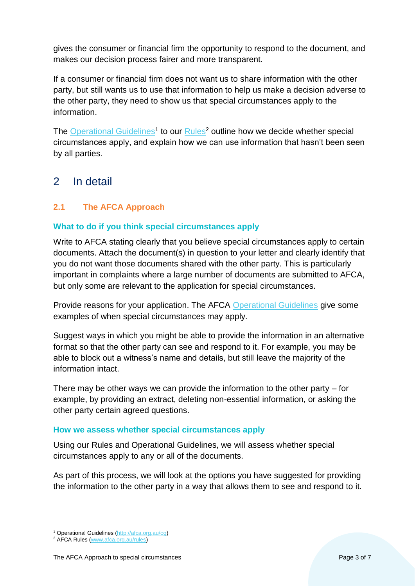gives the consumer or financial firm the opportunity to respond to the document, and makes our decision process fairer and more transparent.

If a consumer or financial firm does not want us to share information with the other party, but still wants us to use that information to help us make a decision adverse to the other party, they need to show us that special circumstances apply to the information.

The [Operational Guidelines](https://afca.org.au/og)<sup>1</sup> to our **Rules<sup>2</sup>** outline how we decide whether special circumstances apply, and explain how we can use information that hasn't been seen by all parties.

## <span id="page-2-0"></span>2 In detail

## <span id="page-2-1"></span>**2.1 The AFCA Approach**

#### **What to do if you think special circumstances apply**

Write to AFCA stating clearly that you believe special circumstances apply to certain documents. Attach the document(s) in question to your letter and clearly identify that you do not want those documents shared with the other party. This is particularly important in complaints where a large number of documents are submitted to AFCA, but only some are relevant to the application for special circumstances.

Provide reasons for your application. The AFCA [Operational Guidelines](https://afca.org.au/og) give some examples of when special circumstances may apply.

Suggest ways in which you might be able to provide the information in an alternative format so that the other party can see and respond to it. For example, you may be able to block out a witness's name and details, but still leave the majority of the information intact.

There may be other ways we can provide the information to the other party – for example, by providing an extract, deleting non-essential information, or asking the other party certain agreed questions.

#### **How we assess whether special circumstances apply**

Using our Rules and Operational Guidelines, we will assess whether special circumstances apply to any or all of the documents.

As part of this process, we will look at the options you have suggested for providing the information to the other party in a way that allows them to see and respond to it.

 $\overline{a}$ 

<sup>&</sup>lt;sup>1</sup> Operational Guidelines [\(http://afca.org.au/og\)](http://afca.org.au/og)

<sup>&</sup>lt;sup>2</sup> AFCA Rules [\(www.afca.org.au/rules\)](http://www.afca.org.au/rules)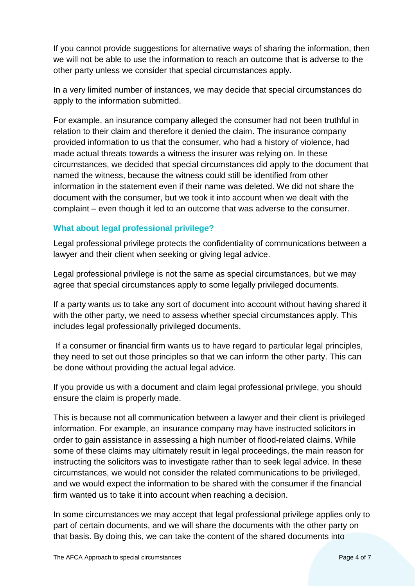If you cannot provide suggestions for alternative ways of sharing the information, then we will not be able to use the information to reach an outcome that is adverse to the other party unless we consider that special circumstances apply.

In a very limited number of instances, we may decide that special circumstances do apply to the information submitted.

For example, an insurance company alleged the consumer had not been truthful in relation to their claim and therefore it denied the claim. The insurance company provided information to us that the consumer, who had a history of violence, had made actual threats towards a witness the insurer was relying on. In these circumstances, we decided that special circumstances did apply to the document that named the witness, because the witness could still be identified from other information in the statement even if their name was deleted. We did not share the document with the consumer, but we took it into account when we dealt with the complaint – even though it led to an outcome that was adverse to the consumer.

#### **What about legal professional privilege?**

Legal professional privilege protects the confidentiality of communications between a lawyer and their client when seeking or giving legal advice.

Legal professional privilege is not the same as special circumstances, but we may agree that special circumstances apply to some legally privileged documents.

If a party wants us to take any sort of document into account without having shared it with the other party, we need to assess whether special circumstances apply. This includes legal professionally privileged documents.

If a consumer or financial firm wants us to have regard to particular legal principles, they need to set out those principles so that we can inform the other party. This can be done without providing the actual legal advice.

If you provide us with a document and claim legal professional privilege, you should ensure the claim is properly made.

This is because not all communication between a lawyer and their client is privileged information. For example, an insurance company may have instructed solicitors in order to gain assistance in assessing a high number of flood-related claims. While some of these claims may ultimately result in legal proceedings, the main reason for instructing the solicitors was to investigate rather than to seek legal advice. In these circumstances, we would not consider the related communications to be privileged, and we would expect the information to be shared with the consumer if the financial firm wanted us to take it into account when reaching a decision.

In some circumstances we may accept that legal professional privilege applies only to part of certain documents, and we will share the documents with the other party on that basis. By doing this, we can take the content of the shared documents into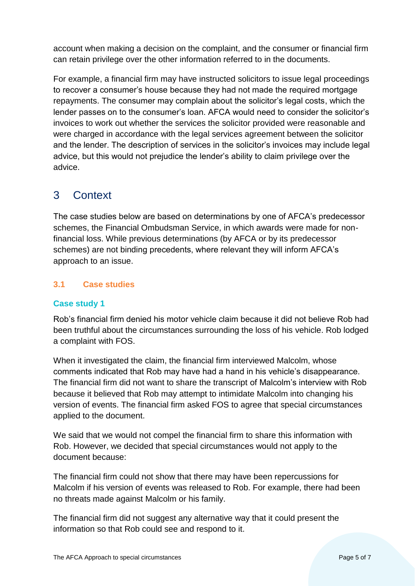account when making a decision on the complaint, and the consumer or financial firm can retain privilege over the other information referred to in the documents.

For example, a financial firm may have instructed solicitors to issue legal proceedings to recover a consumer's house because they had not made the required mortgage repayments. The consumer may complain about the solicitor's legal costs, which the lender passes on to the consumer's loan. AFCA would need to consider the solicitor's invoices to work out whether the services the solicitor provided were reasonable and were charged in accordance with the legal services agreement between the solicitor and the lender. The description of services in the solicitor's invoices may include legal advice, but this would not prejudice the lender's ability to claim privilege over the advice.

# <span id="page-4-0"></span>3 Context

The case studies below are based on determinations by one of AFCA's predecessor schemes, the Financial Ombudsman Service, in which awards were made for nonfinancial loss. While previous determinations (by AFCA or by its predecessor schemes) are not binding precedents, where relevant they will inform AFCA's approach to an issue.

## <span id="page-4-1"></span>**3.1 Case studies**

#### **Case study 1**

Rob's financial firm denied his motor vehicle claim because it did not believe Rob had been truthful about the circumstances surrounding the loss of his vehicle. Rob lodged a complaint with FOS.

When it investigated the claim, the financial firm interviewed Malcolm, whose comments indicated that Rob may have had a hand in his vehicle's disappearance. The financial firm did not want to share the transcript of Malcolm's interview with Rob because it believed that Rob may attempt to intimidate Malcolm into changing his version of events. The financial firm asked FOS to agree that special circumstances applied to the document.

We said that we would not compel the financial firm to share this information with Rob. However, we decided that special circumstances would not apply to the document because:

The financial firm could not show that there may have been repercussions for Malcolm if his version of events was released to Rob. For example, there had been no threats made against Malcolm or his family.

The financial firm did not suggest any alternative way that it could present the information so that Rob could see and respond to it.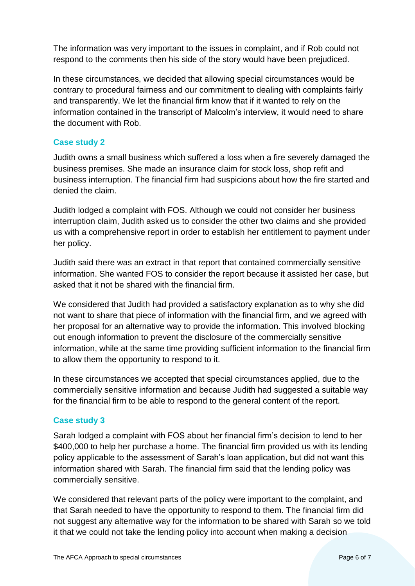The information was very important to the issues in complaint, and if Rob could not respond to the comments then his side of the story would have been prejudiced.

In these circumstances, we decided that allowing special circumstances would be contrary to procedural fairness and our commitment to dealing with complaints fairly and transparently. We let the financial firm know that if it wanted to rely on the information contained in the transcript of Malcolm's interview, it would need to share the document with Rob.

#### **Case study 2**

Judith owns a small business which suffered a loss when a fire severely damaged the business premises. She made an insurance claim for stock loss, shop refit and business interruption. The financial firm had suspicions about how the fire started and denied the claim.

Judith lodged a complaint with FOS. Although we could not consider her business interruption claim, Judith asked us to consider the other two claims and she provided us with a comprehensive report in order to establish her entitlement to payment under her policy.

Judith said there was an extract in that report that contained commercially sensitive information. She wanted FOS to consider the report because it assisted her case, but asked that it not be shared with the financial firm.

We considered that Judith had provided a satisfactory explanation as to why she did not want to share that piece of information with the financial firm, and we agreed with her proposal for an alternative way to provide the information. This involved blocking out enough information to prevent the disclosure of the commercially sensitive information, while at the same time providing sufficient information to the financial firm to allow them the opportunity to respond to it.

In these circumstances we accepted that special circumstances applied, due to the commercially sensitive information and because Judith had suggested a suitable way for the financial firm to be able to respond to the general content of the report.

### **Case study 3**

Sarah lodged a complaint with FOS about her financial firm's decision to lend to her \$400,000 to help her purchase a home. The financial firm provided us with its lending policy applicable to the assessment of Sarah's loan application, but did not want this information shared with Sarah. The financial firm said that the lending policy was commercially sensitive.

We considered that relevant parts of the policy were important to the complaint, and that Sarah needed to have the opportunity to respond to them. The financial firm did not suggest any alternative way for the information to be shared with Sarah so we told it that we could not take the lending policy into account when making a decision